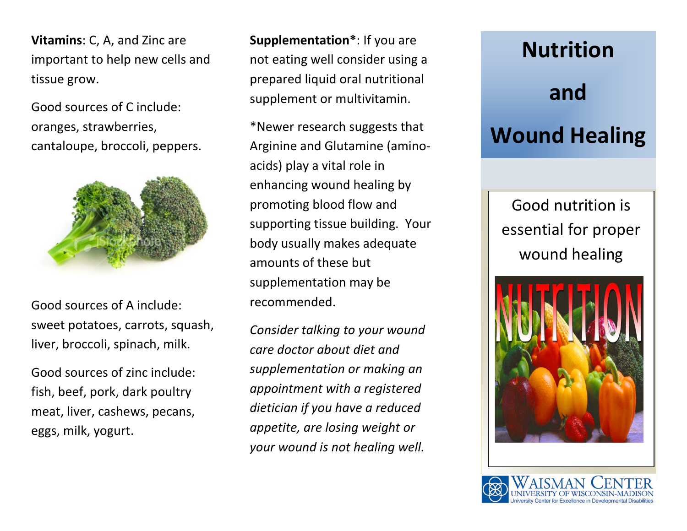**Vitamins**: C, A, and Zinc are important to help new cells and tissue grow.

Good sources of C include: oranges, strawberries, cantaloupe, broccoli, peppers.



Good sources of A include: sweet potatoes, carrots, squash, liver, broccoli, spinach, milk.

Good sources of zinc include: fish, beef, pork, dark poultry meat, liver, cashews, pecans, eggs, milk, yogurt.

**Supplementation\***: If you are not eating well consider using a prepared liquid oral nutritional supplement or multivitamin.

\*Newer research suggests that Arginine and Glutamine (aminoacids) play a vital role in enhancing wound healing by promoting blood flow and supporting tissue building. Your body usually makes adequate amounts of these but supplementation may be recommended.

*Consider talking to your wound care doctor about diet and supplementation or making an appointment with a registered dietician if you have a reduced appetite, are losing weight or your wound is not healing well.*

## **Nutrition and Wound Healing**

Good nutrition is essential for proper wound healing